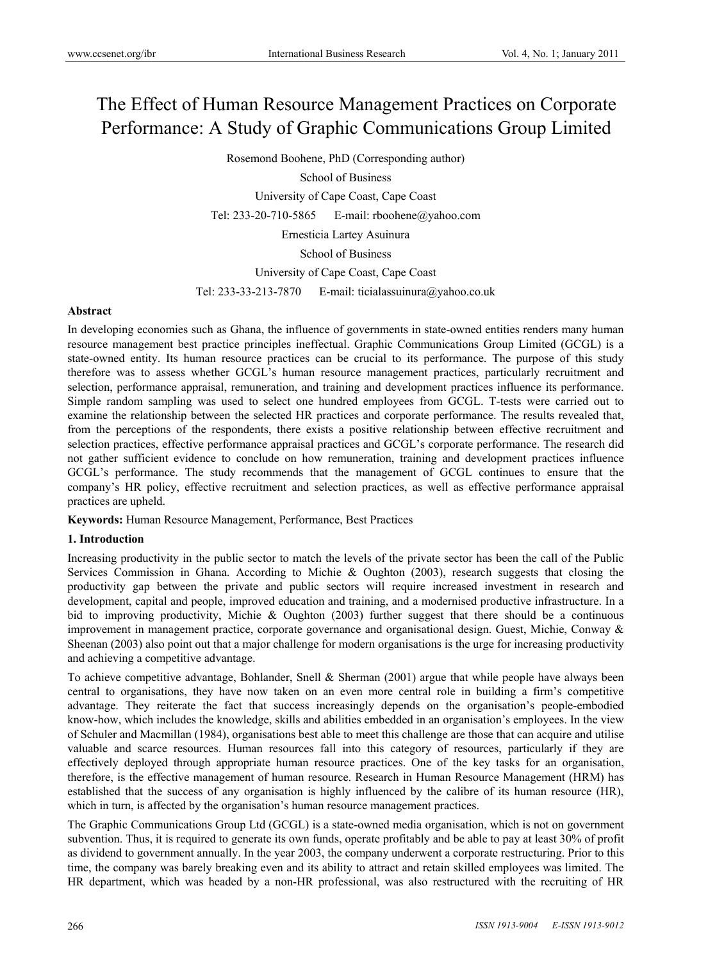# The Effect of Human Resource Management Practices on Corporate Performance: A Study of Graphic Communications Group Limited

Rosemond Boohene, PhD (Corresponding author) School of Business University of Cape Coast, Cape Coast Tel: 233-20-710-5865 E-mail: rboohene@yahoo.com Ernesticia Lartey Asuinura School of Business University of Cape Coast, Cape Coast Tel: 233-33-213-7870 E-mail: ticialassuinura@yahoo.co.uk

#### **Abstract**

In developing economies such as Ghana, the influence of governments in state-owned entities renders many human resource management best practice principles ineffectual. Graphic Communications Group Limited (GCGL) is a state-owned entity. Its human resource practices can be crucial to its performance. The purpose of this study therefore was to assess whether GCGL's human resource management practices, particularly recruitment and selection, performance appraisal, remuneration, and training and development practices influence its performance. Simple random sampling was used to select one hundred employees from GCGL. T-tests were carried out to examine the relationship between the selected HR practices and corporate performance. The results revealed that, from the perceptions of the respondents, there exists a positive relationship between effective recruitment and selection practices, effective performance appraisal practices and GCGL's corporate performance. The research did not gather sufficient evidence to conclude on how remuneration, training and development practices influence GCGL's performance. The study recommends that the management of GCGL continues to ensure that the company's HR policy, effective recruitment and selection practices, as well as effective performance appraisal practices are upheld.

**Keywords:** Human Resource Management, Performance, Best Practices

#### **1. Introduction**

Increasing productivity in the public sector to match the levels of the private sector has been the call of the Public Services Commission in Ghana. According to Michie & Oughton (2003), research suggests that closing the productivity gap between the private and public sectors will require increased investment in research and development, capital and people, improved education and training, and a modernised productive infrastructure. In a bid to improving productivity, Michie & Oughton (2003) further suggest that there should be a continuous improvement in management practice, corporate governance and organisational design. Guest, Michie, Conway & Sheenan (2003) also point out that a major challenge for modern organisations is the urge for increasing productivity and achieving a competitive advantage.

To achieve competitive advantage, Bohlander, Snell & Sherman (2001) argue that while people have always been central to organisations, they have now taken on an even more central role in building a firm's competitive advantage. They reiterate the fact that success increasingly depends on the organisation's people-embodied know-how, which includes the knowledge, skills and abilities embedded in an organisation's employees. In the view of Schuler and Macmillan (1984), organisations best able to meet this challenge are those that can acquire and utilise valuable and scarce resources. Human resources fall into this category of resources, particularly if they are effectively deployed through appropriate human resource practices. One of the key tasks for an organisation, therefore, is the effective management of human resource. Research in Human Resource Management (HRM) has established that the success of any organisation is highly influenced by the calibre of its human resource (HR), which in turn, is affected by the organisation's human resource management practices.

The Graphic Communications Group Ltd (GCGL) is a state-owned media organisation, which is not on government subvention. Thus, it is required to generate its own funds, operate profitably and be able to pay at least 30% of profit as dividend to government annually. In the year 2003, the company underwent a corporate restructuring. Prior to this time, the company was barely breaking even and its ability to attract and retain skilled employees was limited. The HR department, which was headed by a non-HR professional, was also restructured with the recruiting of HR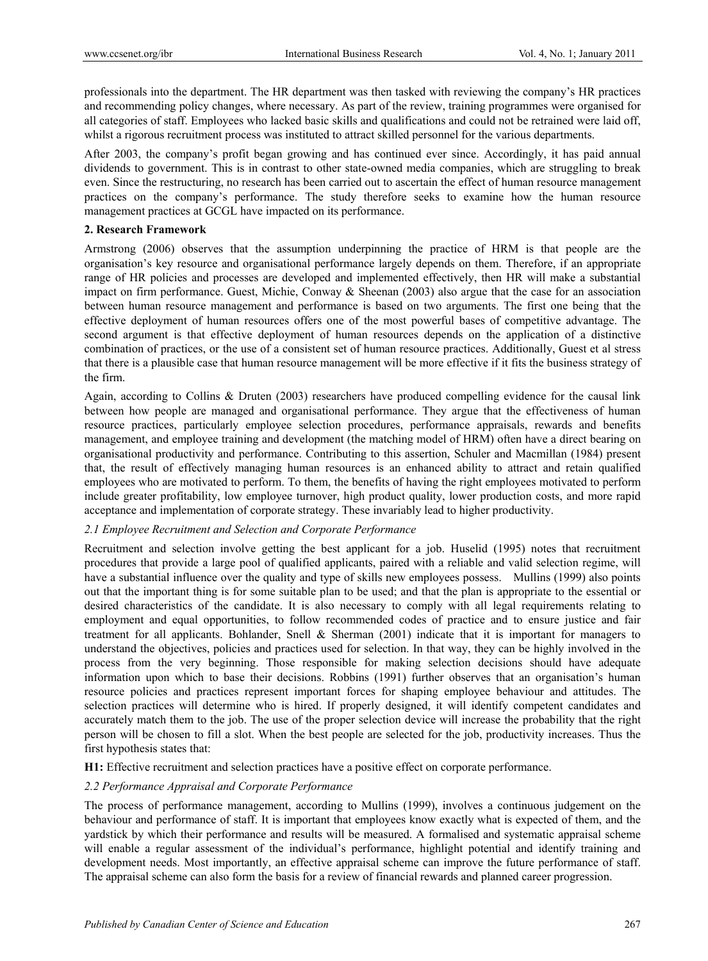professionals into the department. The HR department was then tasked with reviewing the company's HR practices and recommending policy changes, where necessary. As part of the review, training programmes were organised for all categories of staff. Employees who lacked basic skills and qualifications and could not be retrained were laid off, whilst a rigorous recruitment process was instituted to attract skilled personnel for the various departments.

After 2003, the company's profit began growing and has continued ever since. Accordingly, it has paid annual dividends to government. This is in contrast to other state-owned media companies, which are struggling to break even. Since the restructuring, no research has been carried out to ascertain the effect of human resource management practices on the company's performance. The study therefore seeks to examine how the human resource management practices at GCGL have impacted on its performance.

## **2. Research Framework**

Armstrong (2006) observes that the assumption underpinning the practice of HRM is that people are the organisation's key resource and organisational performance largely depends on them. Therefore, if an appropriate range of HR policies and processes are developed and implemented effectively, then HR will make a substantial impact on firm performance. Guest, Michie, Conway & Sheenan (2003) also argue that the case for an association between human resource management and performance is based on two arguments. The first one being that the effective deployment of human resources offers one of the most powerful bases of competitive advantage. The second argument is that effective deployment of human resources depends on the application of a distinctive combination of practices, or the use of a consistent set of human resource practices. Additionally, Guest et al stress that there is a plausible case that human resource management will be more effective if it fits the business strategy of the firm.

Again, according to Collins & Druten (2003) researchers have produced compelling evidence for the causal link between how people are managed and organisational performance. They argue that the effectiveness of human resource practices, particularly employee selection procedures, performance appraisals, rewards and benefits management, and employee training and development (the matching model of HRM) often have a direct bearing on organisational productivity and performance. Contributing to this assertion, Schuler and Macmillan (1984) present that, the result of effectively managing human resources is an enhanced ability to attract and retain qualified employees who are motivated to perform. To them, the benefits of having the right employees motivated to perform include greater profitability, low employee turnover, high product quality, lower production costs, and more rapid acceptance and implementation of corporate strategy. These invariably lead to higher productivity.

## *2.1 Employee Recruitment and Selection and Corporate Performance*

Recruitment and selection involve getting the best applicant for a job. Huselid (1995) notes that recruitment procedures that provide a large pool of qualified applicants, paired with a reliable and valid selection regime, will have a substantial influence over the quality and type of skills new employees possess. Mullins (1999) also points out that the important thing is for some suitable plan to be used; and that the plan is appropriate to the essential or desired characteristics of the candidate. It is also necessary to comply with all legal requirements relating to employment and equal opportunities, to follow recommended codes of practice and to ensure justice and fair treatment for all applicants. Bohlander, Snell & Sherman (2001) indicate that it is important for managers to understand the objectives, policies and practices used for selection. In that way, they can be highly involved in the process from the very beginning. Those responsible for making selection decisions should have adequate information upon which to base their decisions. Robbins (1991) further observes that an organisation's human resource policies and practices represent important forces for shaping employee behaviour and attitudes. The selection practices will determine who is hired. If properly designed, it will identify competent candidates and accurately match them to the job. The use of the proper selection device will increase the probability that the right person will be chosen to fill a slot. When the best people are selected for the job, productivity increases. Thus the first hypothesis states that:

**H1:** Effective recruitment and selection practices have a positive effect on corporate performance.

## *2.2 Performance Appraisal and Corporate Performance*

The process of performance management, according to Mullins (1999), involves a continuous judgement on the behaviour and performance of staff. It is important that employees know exactly what is expected of them, and the yardstick by which their performance and results will be measured. A formalised and systematic appraisal scheme will enable a regular assessment of the individual's performance, highlight potential and identify training and development needs. Most importantly, an effective appraisal scheme can improve the future performance of staff. The appraisal scheme can also form the basis for a review of financial rewards and planned career progression.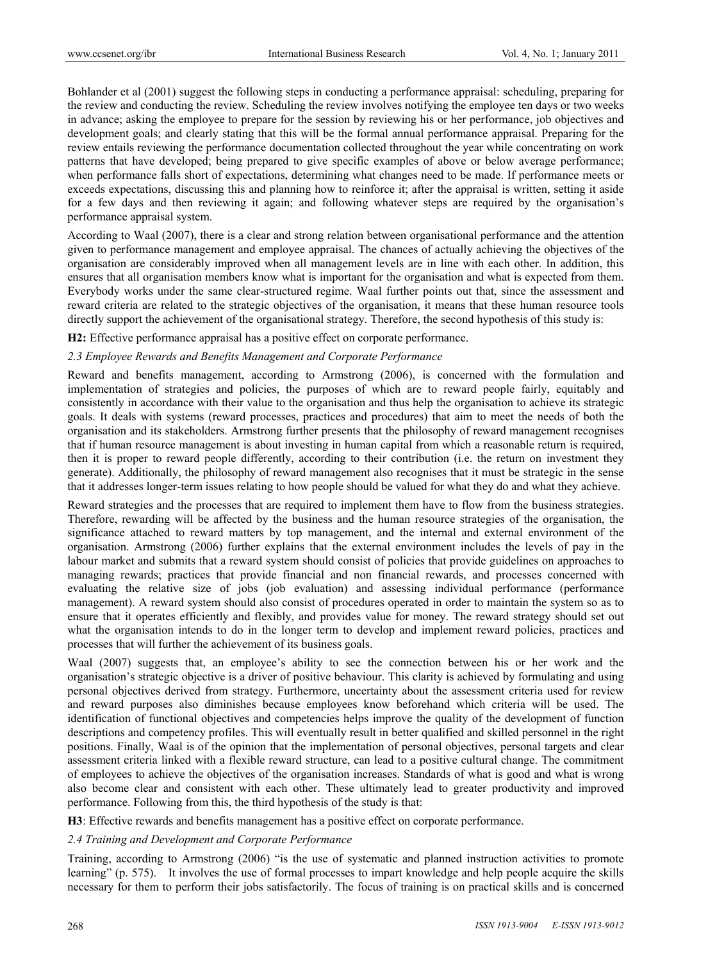Bohlander et al (2001) suggest the following steps in conducting a performance appraisal: scheduling, preparing for the review and conducting the review. Scheduling the review involves notifying the employee ten days or two weeks in advance; asking the employee to prepare for the session by reviewing his or her performance, job objectives and development goals; and clearly stating that this will be the formal annual performance appraisal. Preparing for the review entails reviewing the performance documentation collected throughout the year while concentrating on work patterns that have developed; being prepared to give specific examples of above or below average performance; when performance falls short of expectations, determining what changes need to be made. If performance meets or exceeds expectations, discussing this and planning how to reinforce it; after the appraisal is written, setting it aside for a few days and then reviewing it again; and following whatever steps are required by the organisation's performance appraisal system.

According to Waal (2007), there is a clear and strong relation between organisational performance and the attention given to performance management and employee appraisal. The chances of actually achieving the objectives of the organisation are considerably improved when all management levels are in line with each other. In addition, this ensures that all organisation members know what is important for the organisation and what is expected from them. Everybody works under the same clear-structured regime. Waal further points out that, since the assessment and reward criteria are related to the strategic objectives of the organisation, it means that these human resource tools directly support the achievement of the organisational strategy. Therefore, the second hypothesis of this study is:

# **H2:** Effective performance appraisal has a positive effect on corporate performance.

#### *2.3 Employee Rewards and Benefits Management and Corporate Performance*

Reward and benefits management, according to Armstrong (2006), is concerned with the formulation and implementation of strategies and policies, the purposes of which are to reward people fairly, equitably and consistently in accordance with their value to the organisation and thus help the organisation to achieve its strategic goals. It deals with systems (reward processes, practices and procedures) that aim to meet the needs of both the organisation and its stakeholders. Armstrong further presents that the philosophy of reward management recognises that if human resource management is about investing in human capital from which a reasonable return is required, then it is proper to reward people differently, according to their contribution (i.e. the return on investment they generate). Additionally, the philosophy of reward management also recognises that it must be strategic in the sense that it addresses longer-term issues relating to how people should be valued for what they do and what they achieve.

Reward strategies and the processes that are required to implement them have to flow from the business strategies. Therefore, rewarding will be affected by the business and the human resource strategies of the organisation, the significance attached to reward matters by top management, and the internal and external environment of the organisation. Armstrong (2006) further explains that the external environment includes the levels of pay in the labour market and submits that a reward system should consist of policies that provide guidelines on approaches to managing rewards; practices that provide financial and non financial rewards, and processes concerned with evaluating the relative size of jobs (job evaluation) and assessing individual performance (performance management). A reward system should also consist of procedures operated in order to maintain the system so as to ensure that it operates efficiently and flexibly, and provides value for money. The reward strategy should set out what the organisation intends to do in the longer term to develop and implement reward policies, practices and processes that will further the achievement of its business goals.

Waal (2007) suggests that, an employee's ability to see the connection between his or her work and the organisation's strategic objective is a driver of positive behaviour. This clarity is achieved by formulating and using personal objectives derived from strategy. Furthermore, uncertainty about the assessment criteria used for review and reward purposes also diminishes because employees know beforehand which criteria will be used. The identification of functional objectives and competencies helps improve the quality of the development of function descriptions and competency profiles. This will eventually result in better qualified and skilled personnel in the right positions. Finally, Waal is of the opinion that the implementation of personal objectives, personal targets and clear assessment criteria linked with a flexible reward structure, can lead to a positive cultural change. The commitment of employees to achieve the objectives of the organisation increases. Standards of what is good and what is wrong also become clear and consistent with each other. These ultimately lead to greater productivity and improved performance. Following from this, the third hypothesis of the study is that:

#### **H3**: Effective rewards and benefits management has a positive effect on corporate performance.

#### *2.4 Training and Development and Corporate Performance*

Training, according to Armstrong (2006) "is the use of systematic and planned instruction activities to promote learning" (p. 575). It involves the use of formal processes to impart knowledge and help people acquire the skills necessary for them to perform their jobs satisfactorily. The focus of training is on practical skills and is concerned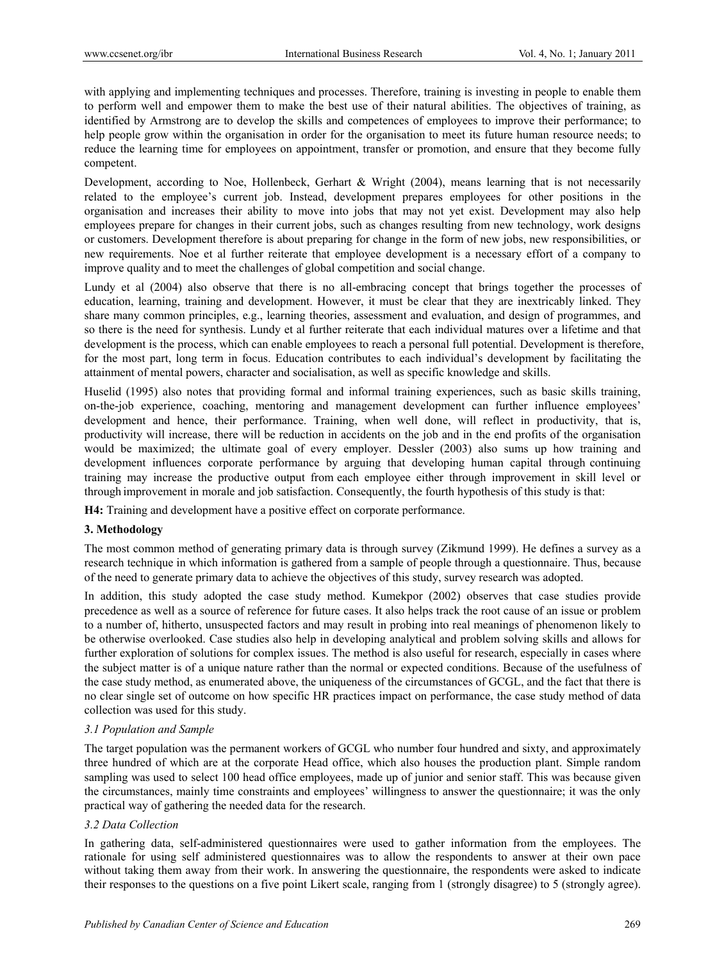with applying and implementing techniques and processes. Therefore, training is investing in people to enable them to perform well and empower them to make the best use of their natural abilities. The objectives of training, as identified by Armstrong are to develop the skills and competences of employees to improve their performance; to help people grow within the organisation in order for the organisation to meet its future human resource needs; to reduce the learning time for employees on appointment, transfer or promotion, and ensure that they become fully competent.

Development, according to Noe, Hollenbeck, Gerhart & Wright (2004), means learning that is not necessarily related to the employee's current job. Instead, development prepares employees for other positions in the organisation and increases their ability to move into jobs that may not yet exist. Development may also help employees prepare for changes in their current jobs, such as changes resulting from new technology, work designs or customers. Development therefore is about preparing for change in the form of new jobs, new responsibilities, or new requirements. Noe et al further reiterate that employee development is a necessary effort of a company to improve quality and to meet the challenges of global competition and social change.

Lundy et al (2004) also observe that there is no all-embracing concept that brings together the processes of education, learning, training and development. However, it must be clear that they are inextricably linked. They share many common principles, e.g., learning theories, assessment and evaluation, and design of programmes, and so there is the need for synthesis. Lundy et al further reiterate that each individual matures over a lifetime and that development is the process, which can enable employees to reach a personal full potential. Development is therefore, for the most part, long term in focus. Education contributes to each individual's development by facilitating the attainment of mental powers, character and socialisation, as well as specific knowledge and skills.

Huselid (1995) also notes that providing formal and informal training experiences, such as basic skills training, on-the-job experience, coaching, mentoring and management development can further influence employees' development and hence, their performance. Training, when well done, will reflect in productivity, that is, productivity will increase, there will be reduction in accidents on the job and in the end profits of the organisation would be maximized; the ultimate goal of every employer. Dessler (2003) also sums up how training and development influences corporate performance by arguing that developing human capital through continuing training may increase the productive output from each employee either through improvement in skill level or through improvement in morale and job satisfaction. Consequently, the fourth hypothesis of this study is that:

**H4:** Training and development have a positive effect on corporate performance.

## **3. Methodology**

The most common method of generating primary data is through survey (Zikmund 1999). He defines a survey as a research technique in which information is gathered from a sample of people through a questionnaire. Thus, because of the need to generate primary data to achieve the objectives of this study, survey research was adopted.

In addition, this study adopted the case study method. Kumekpor (2002) observes that case studies provide precedence as well as a source of reference for future cases. It also helps track the root cause of an issue or problem to a number of, hitherto, unsuspected factors and may result in probing into real meanings of phenomenon likely to be otherwise overlooked. Case studies also help in developing analytical and problem solving skills and allows for further exploration of solutions for complex issues. The method is also useful for research, especially in cases where the subject matter is of a unique nature rather than the normal or expected conditions. Because of the usefulness of the case study method, as enumerated above, the uniqueness of the circumstances of GCGL, and the fact that there is no clear single set of outcome on how specific HR practices impact on performance, the case study method of data collection was used for this study.

## *3.1 Population and Sample*

The target population was the permanent workers of GCGL who number four hundred and sixty, and approximately three hundred of which are at the corporate Head office, which also houses the production plant. Simple random sampling was used to select 100 head office employees, made up of junior and senior staff. This was because given the circumstances, mainly time constraints and employees' willingness to answer the questionnaire; it was the only practical way of gathering the needed data for the research.

## *3.2 Data Collection*

In gathering data, self-administered questionnaires were used to gather information from the employees. The rationale for using self administered questionnaires was to allow the respondents to answer at their own pace without taking them away from their work. In answering the questionnaire, the respondents were asked to indicate their responses to the questions on a five point Likert scale, ranging from 1 (strongly disagree) to 5 (strongly agree).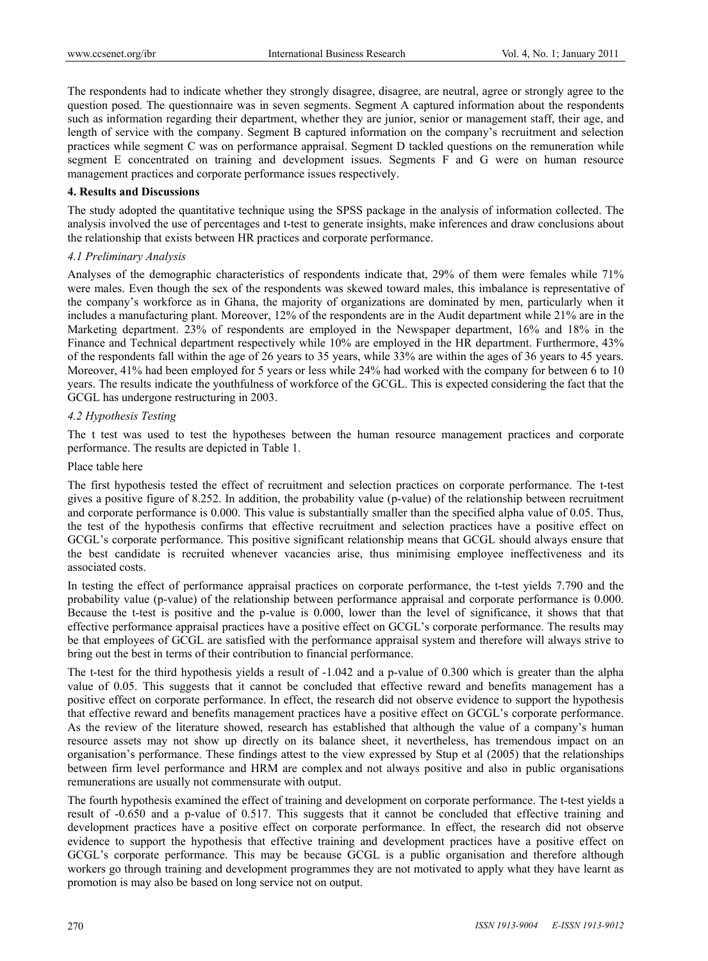The respondents had to indicate whether they strongly disagree, disagree, are neutral, agree or strongly agree to the question posed. The questionnaire was in seven segments. Segment A captured information about the respondents such as information regarding their department, whether they are junior, senior or management staff, their age, and length of service with the company. Segment B captured information on the company's recruitment and selection practices while segment C was on performance appraisal. Segment D tackled questions on the remuneration while segment E concentrated on training and development issues. Segments F and G were on human resource management practices and corporate performance issues respectively.

#### **4. Results and Discussions**

The study adopted the quantitative technique using the SPSS package in the analysis of information collected. The analysis involved the use of percentages and t-test to generate insights, make inferences and draw conclusions about the relationship that exists between HR practices and corporate performance.

#### *4.1 Preliminary Analysis*

Analyses of the demographic characteristics of respondents indicate that, 29% of them were females while 71% were males. Even though the sex of the respondents was skewed toward males, this imbalance is representative of the company's workforce as in Ghana, the majority of organizations are dominated by men, particularly when it includes a manufacturing plant. Moreover, 12% of the respondents are in the Audit department while 21% are in the Marketing department. 23% of respondents are employed in the Newspaper department, 16% and 18% in the Finance and Technical department respectively while 10% are employed in the HR department. Furthermore, 43% of the respondents fall within the age of 26 years to 35 years, while 33% are within the ages of 36 years to 45 years. Moreover, 41% had been employed for 5 years or less while 24% had worked with the company for between 6 to 10 years. The results indicate the youthfulness of workforce of the GCGL. This is expected considering the fact that the GCGL has undergone restructuring in 2003.

## *4.2 Hypothesis Testing*

The t test was used to test the hypotheses between the human resource management practices and corporate performance. The results are depicted in Table 1.

#### Place table here

The first hypothesis tested the effect of recruitment and selection practices on corporate performance. The t-test gives a positive figure of 8.252. In addition, the probability value (p-value) of the relationship between recruitment and corporate performance is 0.000. This value is substantially smaller than the specified alpha value of 0.05. Thus, the test of the hypothesis confirms that effective recruitment and selection practices have a positive effect on GCGL's corporate performance. This positive significant relationship means that GCGL should always ensure that the best candidate is recruited whenever vacancies arise, thus minimising employee ineffectiveness and its associated costs.

In testing the effect of performance appraisal practices on corporate performance, the t-test yields 7.790 and the probability value (p-value) of the relationship between performance appraisal and corporate performance is 0.000. Because the t-test is positive and the p-value is 0.000, lower than the level of significance, it shows that that effective performance appraisal practices have a positive effect on GCGL's corporate performance. The results may be that employees of GCGL are satisfied with the performance appraisal system and therefore will always strive to bring out the best in terms of their contribution to financial performance.

The t-test for the third hypothesis yields a result of -1.042 and a p-value of 0.300 which is greater than the alpha value of 0.05. This suggests that it cannot be concluded that effective reward and benefits management has a positive effect on corporate performance. In effect, the research did not observe evidence to support the hypothesis that effective reward and benefits management practices have a positive effect on GCGL's corporate performance. As the review of the literature showed, research has established that although the value of a company's human resource assets may not show up directly on its balance sheet, it nevertheless, has tremendous impact on an organisation's performance. These findings attest to the view expressed by Stup et al (2005) that the relationships between firm level performance and HRM are complex and not always positive and also in public organisations remunerations are usually not commensurate with output.

The fourth hypothesis examined the effect of training and development on corporate performance. The t-test yields a result of -0.650 and a p-value of 0.517. This suggests that it cannot be concluded that effective training and development practices have a positive effect on corporate performance. In effect, the research did not observe evidence to support the hypothesis that effective training and development practices have a positive effect on GCGL's corporate performance. This may be because GCGL is a public organisation and therefore although workers go through training and development programmes they are not motivated to apply what they have learnt as promotion is may also be based on long service not on output.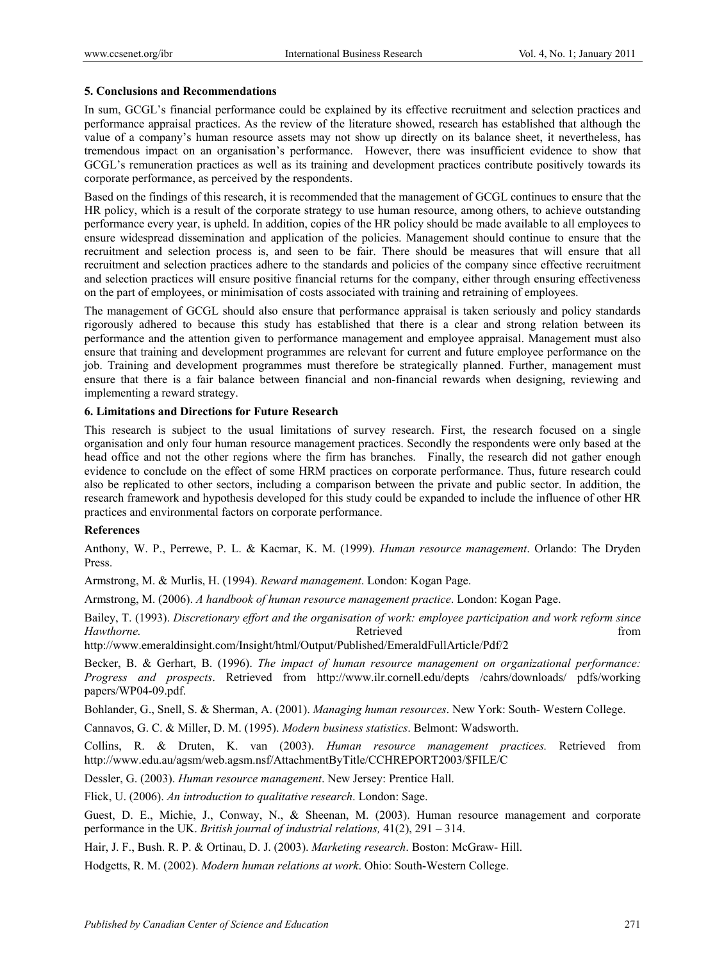## **5. Conclusions and Recommendations**

In sum, GCGL's financial performance could be explained by its effective recruitment and selection practices and performance appraisal practices. As the review of the literature showed, research has established that although the value of a company's human resource assets may not show up directly on its balance sheet, it nevertheless, has tremendous impact on an organisation's performance. However, there was insufficient evidence to show that GCGL's remuneration practices as well as its training and development practices contribute positively towards its corporate performance, as perceived by the respondents.

Based on the findings of this research, it is recommended that the management of GCGL continues to ensure that the HR policy, which is a result of the corporate strategy to use human resource, among others, to achieve outstanding performance every year, is upheld. In addition, copies of the HR policy should be made available to all employees to ensure widespread dissemination and application of the policies. Management should continue to ensure that the recruitment and selection process is, and seen to be fair. There should be measures that will ensure that all recruitment and selection practices adhere to the standards and policies of the company since effective recruitment and selection practices will ensure positive financial returns for the company, either through ensuring effectiveness on the part of employees, or minimisation of costs associated with training and retraining of employees.

The management of GCGL should also ensure that performance appraisal is taken seriously and policy standards rigorously adhered to because this study has established that there is a clear and strong relation between its performance and the attention given to performance management and employee appraisal. Management must also ensure that training and development programmes are relevant for current and future employee performance on the job. Training and development programmes must therefore be strategically planned. Further, management must ensure that there is a fair balance between financial and non-financial rewards when designing, reviewing and implementing a reward strategy.

## **6. Limitations and Directions for Future Research**

This research is subject to the usual limitations of survey research. First, the research focused on a single organisation and only four human resource management practices. Secondly the respondents were only based at the head office and not the other regions where the firm has branches. Finally, the research did not gather enough evidence to conclude on the effect of some HRM practices on corporate performance. Thus, future research could also be replicated to other sectors, including a comparison between the private and public sector. In addition, the research framework and hypothesis developed for this study could be expanded to include the influence of other HR practices and environmental factors on corporate performance.

## **References**

Anthony, W. P., Perrewe, P. L. & Kacmar, K. M. (1999). *Human resource management*. Orlando: The Dryden Press.

Armstrong, M. & Murlis, H. (1994). *Reward management*. London: Kogan Page.

Armstrong, M. (2006). *A handbook of human resource management practice*. London: Kogan Page.

Bailey, T. (1993). *Discretionary effort and the organisation of work: employee participation and work reform since Hawthorne.* **Community Community Community Retrieved community Retrieved from** 

http://www.emeraldinsight.com/Insight/html/Output/Published/EmeraldFullArticle/Pdf/2

Becker, B. & Gerhart, B. (1996). *The impact of human resource management on organizational performance: Progress and prospects*. Retrieved from http://www.ilr.cornell.edu/depts /cahrs/downloads/ pdfs/working papers/WP04-09.pdf.

Bohlander, G., Snell, S. & Sherman, A. (2001). *Managing human resources*. New York: South- Western College.

Cannavos, G. C. & Miller, D. M. (1995). *Modern business statistics*. Belmont: Wadsworth.

Collins, R. & Druten, K. van (2003). *Human resource management practices.* Retrieved from http://www.edu.au/agsm/web.agsm.nsf/AttachmentByTitle/CCHREPORT2003/\$FILE/C

Dessler, G. (2003). *Human resource management*. New Jersey: Prentice Hall.

Flick, U. (2006). *An introduction to qualitative research*. London: Sage.

Guest, D. E., Michie, J., Conway, N., & Sheenan, M. (2003). Human resource management and corporate performance in the UK. *British journal of industrial relations,* 41(2), 291 – 314.

Hair, J. F., Bush. R. P. & Ortinau, D. J. (2003). *Marketing research*. Boston: McGraw- Hill.

Hodgetts, R. M. (2002). *Modern human relations at work*. Ohio: South-Western College.